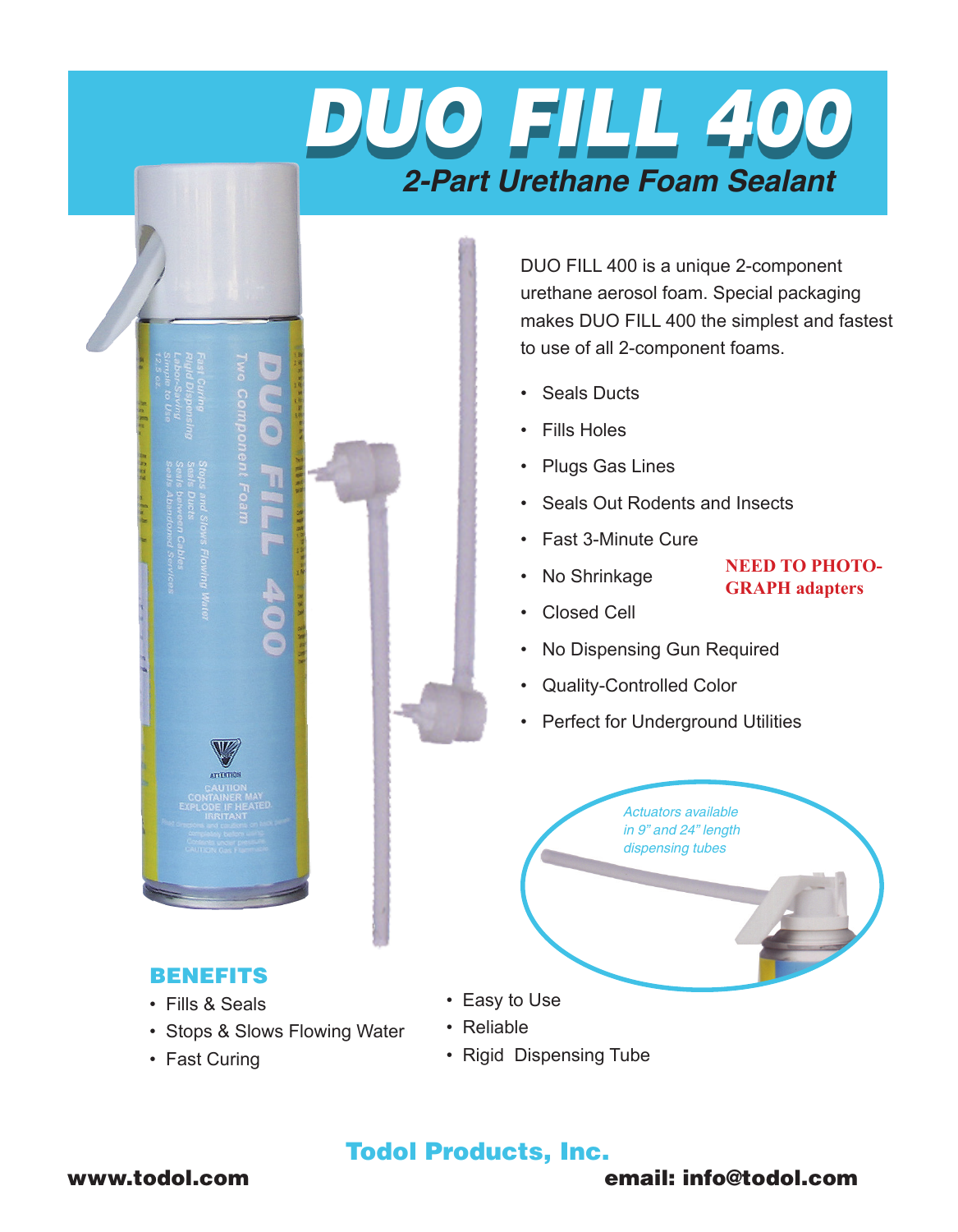

DUO FILL 400 is a unique 2-component urethane aerosol foam. Special packaging makes DUO FILL 400 the simplest and fastest to use of all 2-component foams.

> **NEED TO PHOTO-GRAPH adapters**

- • Seals Ducts
- • Fills Holes
- • Plugs Gas Lines
- • Seals Out Rodents and Insects
- • Fast 3-Minute Cure
- No Shrinkage
- • Closed Cell
- No Dispensing Gun Required
- Quality-Controlled Color
- Perfect for Underground Utilities

*Actuators available in 9" and 24" length dispensing tubes*

- 
- Stops & Slows Flowing Water
- Fast Curing

BENEFITS • Fills & Seals

- • Easy to Use
- Reliable
- Rigid Dispensing Tube

# Todol Products, Inc.

## www.todol.com email: info@todol.com